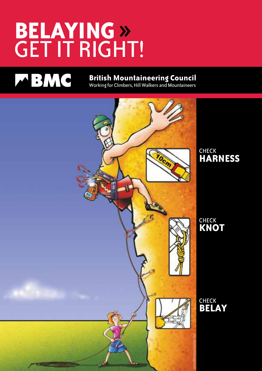# **Belaying » GET IT RIGHT!**



## **British Mountaineering Council**

Working for Climbers, Hill Walkers and Mountaineers

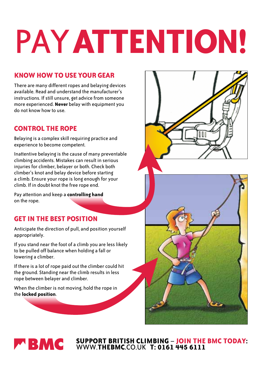# PAY **aTTENTION!**

#### **Know how to use your gear**

There are many different ropes and belaying devices available. Read and understand the manufacturer's instructions. If still unsure, get advice from someone more experienced. **Never** belay with equipment you do not know how to use.

#### **Control the rope**

Belaying is a complex skill requiring practice and experience to become competent.

Inattentive belaying is the cause of many preventable climbing accidents. Mistakes can result in serious injuries for climber, belayer or both. Check both climber's knot and belay device before starting a climb. Ensure your rope is long enough for your climb. If in doubt knot the free rope end.

Pay attention and keep a **controlling hand** on the rope.

#### **Get in the best position**

Anticipate the direction of pull, and position yourself appropriately.

If you stand near the foot of a climb you are less likely to be pulled off balance when holding a fall or lowering a climber.

If there is a lot of rope paid out the climber could hit the ground. Standing near the climb results in less rope between belayer and climber.

When the climber is not moving, hold the rope in the **locked position**.





**Support british climbing** – **join the BMC today:** www.**thebmc**.co.uk **t: 0161 445 6111**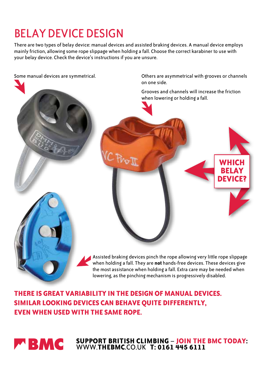## Belay device design

There are two types of belay device: manual devices and assisted braking devices. A manual device employs mainly friction, allowing some rope slippage when holding a fall. Choose the correct karabiner to use with your belay device. Check the device's instructions if you are unsure.



## **There is great variability in the design of manual devices. Similar looking devices can behave quite differently, even when used with the same rope.**



**Support british climbing** – **join the BMC today:** www.**thebmc**.co.uk **t: 0161 445 6111**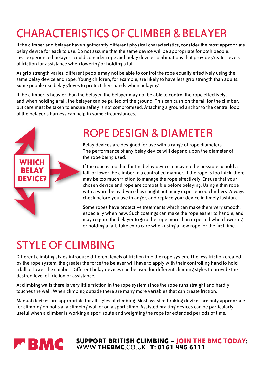## Characteristics of climber & belayer

If the climber and belayer have significantly different physical characteristics, consider the most appropriate belay device for each to use. Do not assume that the same device will be appropriate for both people. Less experienced belayers could consider rope and belay device combinations that provide greater levels of friction for assistance when lowering or holding a fall.

As grip strength varies, different people may not be able to control the rope equally effectively using the same belay device and rope. Young children, for example, are likely to have less grip strength than adults. Some people use belay gloves to protect their hands when belaying.

If the climber is heavier than the belayer, the belayer may not be able to control the rope effectively, and when holding a fall, the belayer can be pulled off the ground. This can cushion the fall for the climber, but care must be taken to ensure safety is not compromised. Attaching a ground anchor to the central loop of the belayer's harness can help in some circumstances.



## Rope design & diameter

Belay devices are designed for use with a range of rope diameters. The performance of any belay device will depend upon the diameter of the rope being used.

If the rope is too thin for the belay device, it may not be possible to hold a fall, or lower the climber in a controlled manner. If the rope is too thick, there may be too much friction to manage the rope effectively. Ensure that your chosen device and rope are compatible before belaying. Using a thin rope with a worn belay device has caught out many experienced climbers. Always check before you use in anger, and replace your device in timely fashion.

Some ropes have protective treatments which can make them very smooth, especially when new. Such coatings can make the rope easier to handle, and may require the belayer to grip the rope more than expected when lowering or holding a fall. Take extra care when using a new rope for the first time.

## Style of climbing

Different climbing styles introduce different levels of friction into the rope system. The less friction created by the rope system, the greater the force the belayer will have to apply with their controlling hand to hold a fall or lower the climber. Different belay devices can be used for different climbing styles to provide the desired level of friction or assistance.

At climbing walls there is very little friction in the rope system since the rope runs straight and hardly touches the wall. When climbing outside there are many more variables that can create friction.

Manual devices are appropriate for all styles of climbing. Most assisted braking devices are only appropriate for climbing on bolts at a climbing wall or on a sport climb. Assisted braking devices can be particularly useful when a climber is working a sport route and weighting the rope for extended periods of time.



**Support british climbing** – **join the BMC today:** www.**thebmc**.co.uk **t: 0161 445 6111**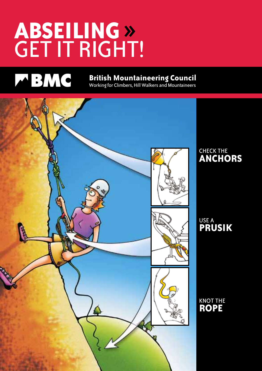# **ABSEILING » GET IT RIGHT!**

## MBMC

## **British Mountaineering Council**

Working for Climbers, Hill Walkers and Mountaineers